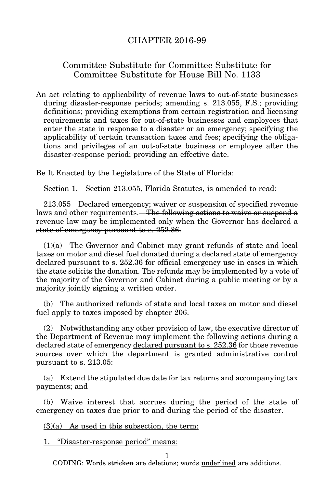## CHAPTER 2016-99

## Committee Substitute for Committee Substitute for Committee Substitute for House Bill No. 1133

An act relating to applicability of revenue laws to out-of-state businesses during disaster-response periods; amending s. 213.055, F.S.; providing definitions; providing exemptions from certain registration and licensing requirements and taxes for out-of-state businesses and employees that enter the state in response to a disaster or an emergency; specifying the applicability of certain transaction taxes and fees; specifying the obligations and privileges of an out-of-state business or employee after the disaster-response period; providing an effective date.

Be It Enacted by the Legislature of the State of Florida:

Section 1. Section 213.055, Florida Statutes, is amended to read:

213.055 Declared emergency; waiver or suspension of specified revenue laws and other requirements.—The following actions to waive or suspend a revenue law may be implemented only when the Governor has declared a state of emergency pursuant to s. 252.36.

(1)(a) The Governor and Cabinet may grant refunds of state and local taxes on motor and diesel fuel donated during a declared state of emergency declared pursuant to s. 252.36 for official emergency use in cases in which the state solicits the donation. The refunds may be implemented by a vote of the majority of the Governor and Cabinet during a public meeting or by a majority jointly signing a written order.

(b) The authorized refunds of state and local taxes on motor and diesel fuel apply to taxes imposed by chapter 206.

(2) Notwithstanding any other provision of law, the executive director of the Department of Revenue may implement the following actions during a declared state of emergency declared pursuant to s. 252.36 for those revenue sources over which the department is granted administrative control pursuant to s. 213.05:

(a) Extend the stipulated due date for tax returns and accompanying tax payments; and

(b) Waive interest that accrues during the period of the state of emergency on taxes due prior to and during the period of the disaster.

 $(3)(a)$  As used in this subsection, the term:

1. "Disaster-response period" means:

CODING: Words stricken are deletions; words underlined are additions.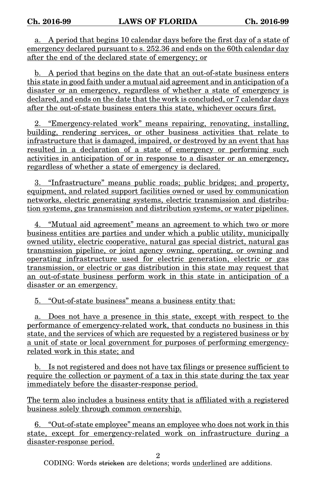a. A period that begins 10 calendar days before the first day of a state of emergency declared pursuant to s. 252.36 and ends on the 60th calendar day after the end of the declared state of emergency; or

b. A period that begins on the date that an out-of-state business enters this state in good faith under a mutual aid agreement and in anticipation of a disaster or an emergency, regardless of whether a state of emergency is declared, and ends on the date that the work is concluded, or 7 calendar days after the out-of-state business enters this state, whichever occurs first.

2. "Emergency-related work" means repairing, renovating, installing, building, rendering services, or other business activities that relate to infrastructure that is damaged, impaired, or destroyed by an event that has resulted in a declaration of a state of emergency or performing such activities in anticipation of or in response to a disaster or an emergency, regardless of whether a state of emergency is declared.

3. "Infrastructure" means public roads; public bridges; and property, equipment, and related support facilities owned or used by communication networks, electric generating systems, electric transmission and distribution systems, gas transmission and distribution systems, or water pipelines.

4. "Mutual aid agreement" means an agreement to which two or more business entities are parties and under which a public utility, municipally owned utility, electric cooperative, natural gas special district, natural gas transmission pipeline, or joint agency owning, operating, or owning and operating infrastructure used for electric generation, electric or gas transmission, or electric or gas distribution in this state may request that an out-of-state business perform work in this state in anticipation of a disaster or an emergency.

5. "Out-of-state business" means a business entity that:

a. Does not have a presence in this state, except with respect to the performance of emergency-related work, that conducts no business in this state, and the services of which are requested by a registered business or by a unit of state or local government for purposes of performing emergencyrelated work in this state; and

b. Is not registered and does not have tax filings or presence sufficient to require the collection or payment of a tax in this state during the tax year immediately before the disaster-response period.

The term also includes a business entity that is affiliated with a registered business solely through common ownership.

6. "Out-of-state employee" means an employee who does not work in this state, except for emergency-related work on infrastructure during a disaster-response period.

 $\mathfrak{D}$ 

CODING: Words stricken are deletions; words underlined are additions.